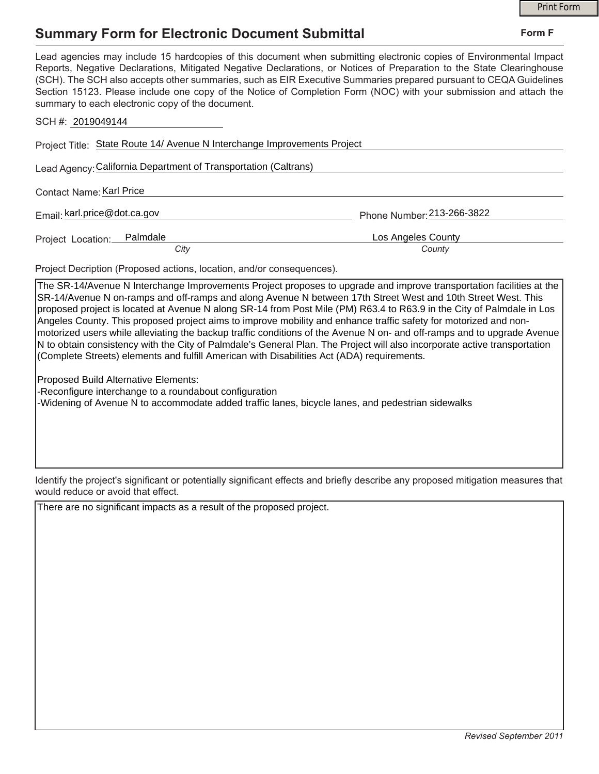## **Summary Form for Electronic Document Submittal**

|                                                                                                                                                                                                                                                                                                                                                                                                                                                                                                                                           |                            | <b>Print Form</b> |
|-------------------------------------------------------------------------------------------------------------------------------------------------------------------------------------------------------------------------------------------------------------------------------------------------------------------------------------------------------------------------------------------------------------------------------------------------------------------------------------------------------------------------------------------|----------------------------|-------------------|
| <b>Summary Form for Electronic Document Submittal</b>                                                                                                                                                                                                                                                                                                                                                                                                                                                                                     |                            | Form F            |
| Lead agencies may include 15 hardcopies of this document when submitting electronic copies of Environmental Impact<br>Reports, Negative Declarations, Mitigated Negative Declarations, or Notices of Preparation to the State Clearinghouse<br>(SCH). The SCH also accepts other summaries, such as EIR Executive Summaries prepared pursuant to CEQA Guidelines<br>Section 15123. Please include one copy of the Notice of Completion Form (NOC) with your submission and attach the<br>summary to each electronic copy of the document. |                            |                   |
| SCH #: 2019049144                                                                                                                                                                                                                                                                                                                                                                                                                                                                                                                         |                            |                   |
| Project Title: State Route 14/ Avenue N Interchange Improvements Project                                                                                                                                                                                                                                                                                                                                                                                                                                                                  |                            |                   |
| Lead Agency: California Department of Transportation (Caltrans)                                                                                                                                                                                                                                                                                                                                                                                                                                                                           |                            |                   |
| Contact Name: Karl Price                                                                                                                                                                                                                                                                                                                                                                                                                                                                                                                  |                            |                   |
| Email: karl.price@dot.ca.gov                                                                                                                                                                                                                                                                                                                                                                                                                                                                                                              | Phone Number: 213-266-3822 |                   |
| Palmdale<br>Project Location:                                                                                                                                                                                                                                                                                                                                                                                                                                                                                                             | Los Angeles County         |                   |
| City                                                                                                                                                                                                                                                                                                                                                                                                                                                                                                                                      | County                     |                   |
| Project Decription (Proposed actions, location, and/or consequences).                                                                                                                                                                                                                                                                                                                                                                                                                                                                     |                            |                   |
| The SR-14/Avenue N Interchange Improvements Project proposes to upgrade and improve transportation facilities at the<br>SR-14/Avenue N on-ramps and off-ramps and along Avenue N between 17th Street West and 10th Street West. This<br>proposed project is located at Avenue N along SR-14 from Post Mile (PM) R63 4 to R63 9 in the City of Palmdale in Los                                                                                                                                                                             |                            |                   |

ed at Avenue N along SR-14 from Post Mile (PM) R63.4 to R63.9 in the City of Palmc Angeles County. This proposed project aims to improve mobility and enhance traffic safety for motorized and nonmotorized users while alleviating the backup traffic conditions of the Avenue N on- and off-ramps and to upgrade Avenue N to obtain consistency with the City of Palmdale's General Plan. The Project will also incorporate active transportation (Complete Streets) elements and fulfill American with Disabilities Act (ADA) requirements.

Proposed Build Alternative Elements:

-Reconfigure interchange to a roundabout configuration

-Widening of Avenue N to accommodate added traffic lanes, bicycle lanes, and pedestrian sidewalks

Identify the project's significant or potentially significant effects and briefly describe any proposed mitigation measures that would reduce or avoid that effect.

There are no significant impacts as a result of the proposed project.